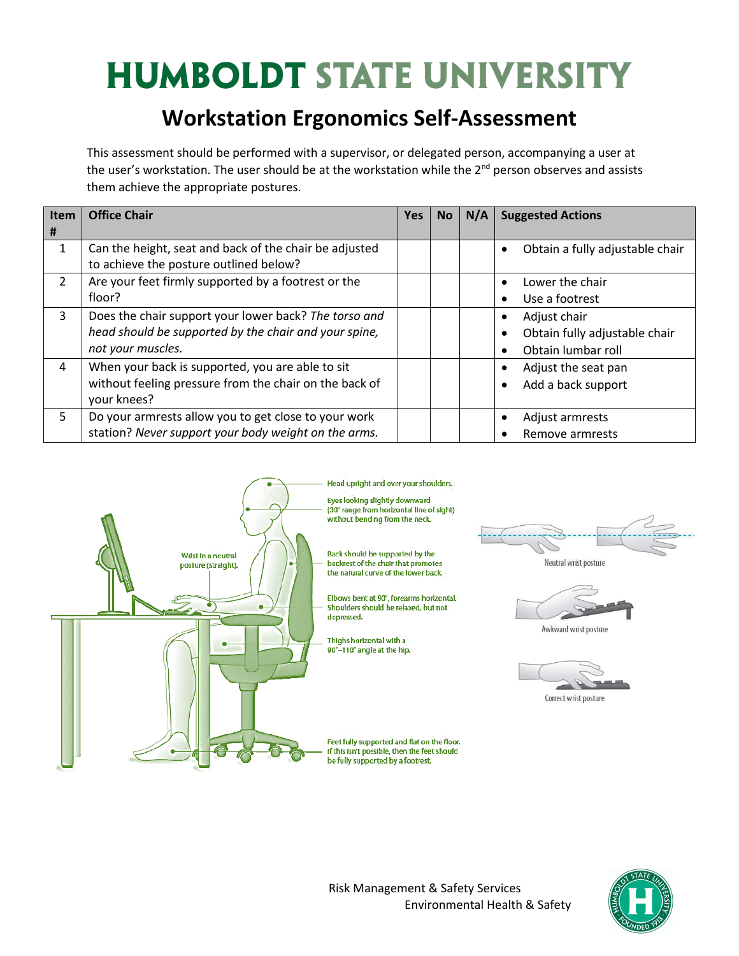#### **Workstation Ergonomics Self-Assessment**

This assessment should be performed with a supervisor, or delegated person, accompanying a user at the user's workstation. The user should be at the workstation while the 2<sup>nd</sup> person observes and assists them achieve the appropriate postures.

| Item           | <b>Office Chair</b>                                    | <b>Yes</b> | <b>No</b> | N/A | <b>Suggested Actions</b>                     |
|----------------|--------------------------------------------------------|------------|-----------|-----|----------------------------------------------|
| #              |                                                        |            |           |     |                                              |
| 1              | Can the height, seat and back of the chair be adjusted |            |           |     | Obtain a fully adjustable chair<br>$\bullet$ |
|                | to achieve the posture outlined below?                 |            |           |     |                                              |
| $\overline{2}$ | Are your feet firmly supported by a footrest or the    |            |           |     | Lower the chair<br>$\bullet$                 |
|                | floor?                                                 |            |           |     | Use a footrest                               |
| 3              | Does the chair support your lower back? The torso and  |            |           |     | Adjust chair                                 |
|                | head should be supported by the chair and your spine,  |            |           |     | Obtain fully adjustable chair                |
|                | not your muscles.                                      |            |           |     | Obtain lumbar roll                           |
| 4              | When your back is supported, you are able to sit       |            |           |     | Adjust the seat pan                          |
|                | without feeling pressure from the chair on the back of |            |           |     | Add a back support                           |
|                | your knees?                                            |            |           |     |                                              |
| 5.             | Do your armrests allow you to get close to your work   |            |           |     | Adjust armrests                              |
|                | station? Never support your body weight on the arms.   |            |           |     | Remove armrests                              |



Neutral wrist posture

Awkward wrist posture

Correct wrist posture



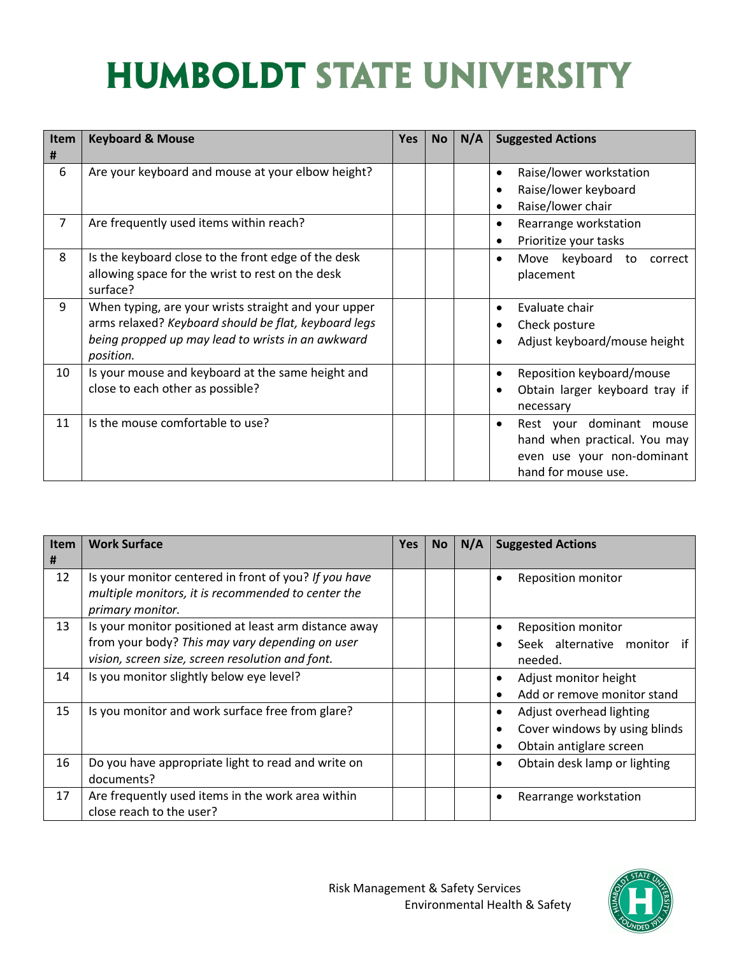| <b>Item</b><br>$\pmb{\sharp}$ | <b>Keyboard &amp; Mouse</b>                                                                                                                                                    | <b>Yes</b> | <b>No</b> | N/A | <b>Suggested Actions</b>                                                                                                   |
|-------------------------------|--------------------------------------------------------------------------------------------------------------------------------------------------------------------------------|------------|-----------|-----|----------------------------------------------------------------------------------------------------------------------------|
| 6                             | Are your keyboard and mouse at your elbow height?                                                                                                                              |            |           |     | Raise/lower workstation<br>$\bullet$<br>Raise/lower keyboard<br>Raise/lower chair                                          |
| 7                             | Are frequently used items within reach?                                                                                                                                        |            |           |     | Rearrange workstation<br>$\bullet$<br>Prioritize your tasks                                                                |
| 8                             | Is the keyboard close to the front edge of the desk<br>allowing space for the wrist to rest on the desk<br>surface?                                                            |            |           |     | Move keyboard to correct<br>$\bullet$<br>placement                                                                         |
| 9                             | When typing, are your wrists straight and your upper<br>arms relaxed? Keyboard should be flat, keyboard legs<br>being propped up may lead to wrists in an awkward<br>position. |            |           |     | Evaluate chair<br>Check posture<br>Adjust keyboard/mouse height                                                            |
| 10                            | Is your mouse and keyboard at the same height and<br>close to each other as possible?                                                                                          |            |           |     | Reposition keyboard/mouse<br>$\bullet$<br>Obtain larger keyboard tray if<br>$\bullet$<br>necessary                         |
| 11                            | Is the mouse comfortable to use?                                                                                                                                               |            |           |     | Rest your dominant mouse<br>$\bullet$<br>hand when practical. You may<br>even use your non-dominant<br>hand for mouse use. |

| <b>Item</b><br># | <b>Work Surface</b>                                                                                                                                          | <b>Yes</b> | <b>No</b> | N/A | <b>Suggested Actions</b>                                                                  |
|------------------|--------------------------------------------------------------------------------------------------------------------------------------------------------------|------------|-----------|-----|-------------------------------------------------------------------------------------------|
| 12               | Is your monitor centered in front of you? If you have<br>multiple monitors, it is recommended to center the<br>primary monitor.                              |            |           |     | <b>Reposition monitor</b>                                                                 |
| 13               | Is your monitor positioned at least arm distance away<br>from your body? This may vary depending on user<br>vision, screen size, screen resolution and font. |            |           |     | <b>Reposition monitor</b><br>Seek alternative monitor<br>if<br>needed.                    |
| 14               | Is you monitor slightly below eye level?                                                                                                                     |            |           |     | Adjust monitor height<br>Add or remove monitor stand<br>$\bullet$                         |
| 15               | Is you monitor and work surface free from glare?                                                                                                             |            |           |     | Adjust overhead lighting<br>Cover windows by using blinds<br>Obtain antiglare screen<br>٠ |
| 16               | Do you have appropriate light to read and write on<br>documents?                                                                                             |            |           |     | Obtain desk lamp or lighting<br>٠                                                         |
| 17               | Are frequently used items in the work area within<br>close reach to the user?                                                                                |            |           |     | Rearrange workstation                                                                     |

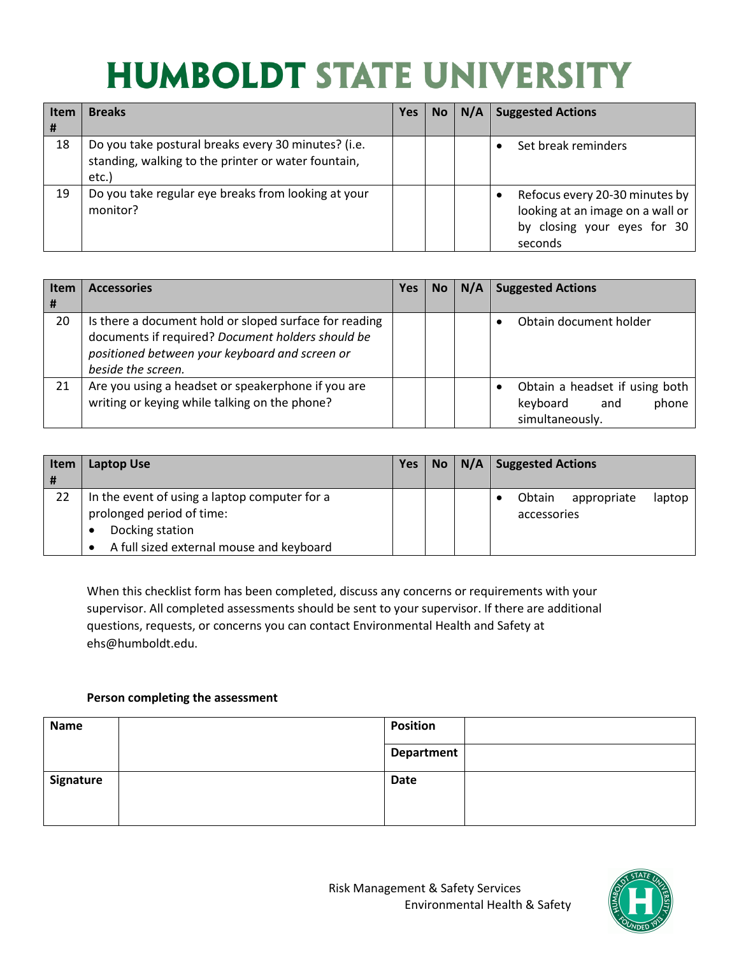| <b>Item</b><br># | <b>Breaks</b>                                                                                                       | Yes | No. | N/A | <b>Suggested Actions</b>                                                                                     |
|------------------|---------------------------------------------------------------------------------------------------------------------|-----|-----|-----|--------------------------------------------------------------------------------------------------------------|
| 18               | Do you take postural breaks every 30 minutes? (i.e.<br>standing, walking to the printer or water fountain,<br>etc.) |     |     |     | Set break reminders                                                                                          |
| 19               | Do you take regular eye breaks from looking at your<br>monitor?                                                     |     |     |     | Refocus every 20-30 minutes by<br>looking at an image on a wall or<br>by closing your eyes for 30<br>seconds |

| <b>Item</b><br># | <b>Accessories</b>                                                                                                                                                                  | Yes | No. | N/A | <b>Suggested Actions</b>                                                      |
|------------------|-------------------------------------------------------------------------------------------------------------------------------------------------------------------------------------|-----|-----|-----|-------------------------------------------------------------------------------|
| 20               | Is there a document hold or sloped surface for reading<br>documents if required? Document holders should be<br>positioned between your keyboard and screen or<br>beside the screen. |     |     |     | Obtain document holder                                                        |
| 21               | Are you using a headset or speakerphone if you are<br>writing or keying while talking on the phone?                                                                                 |     |     |     | Obtain a headset if using both<br>keyboard<br>phone<br>and<br>simultaneously. |

| Item<br>l # | Laptop Use                                                                                                                                | Yes |  | $No \mid N/A \mid$ Suggested Actions           |
|-------------|-------------------------------------------------------------------------------------------------------------------------------------------|-----|--|------------------------------------------------|
| 22          | In the event of using a laptop computer for a<br>prolonged period of time:<br>Docking station<br>A full sized external mouse and keyboard |     |  | Obtain<br>laptop<br>appropriate<br>accessories |

When this checklist form has been completed, discuss any concerns or requirements with your supervisor. All completed assessments should be sent to your supervisor. If there are additional questions, requests, or concerns you can contact Environmental Health and Safety at ehs@humboldt.edu.

#### **Person completing the assessment**

| <b>Name</b> | <b>Position</b> |  |
|-------------|-----------------|--|
|             | Department      |  |
| Signature   | <b>Date</b>     |  |
|             |                 |  |